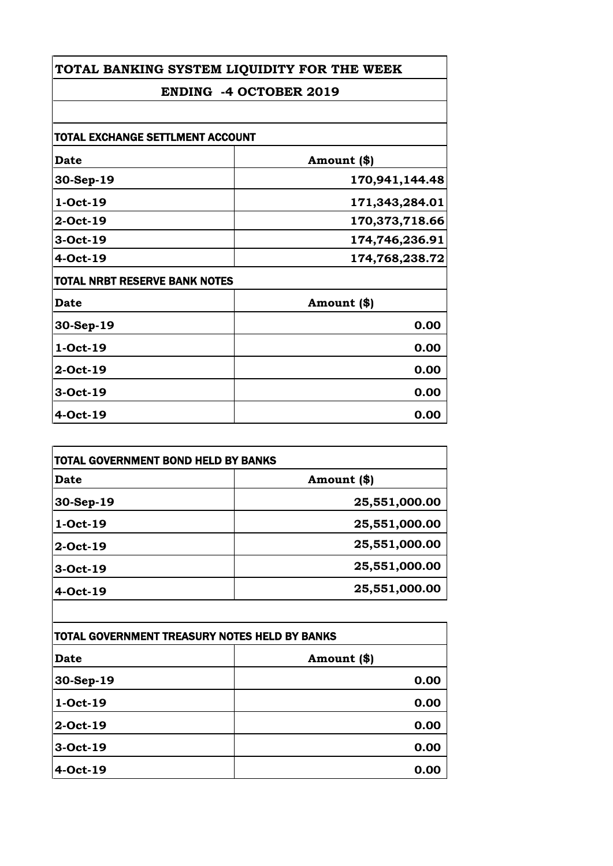# **ENDING -4 OCTOBER 2019**

| TOTAL EXCHANGE SETTLMENT ACCOUNT     |                |
|--------------------------------------|----------------|
| <b>Date</b>                          | Amount (\$)    |
| 30-Sep-19                            | 170,941,144.48 |
| 1-Oct-19                             | 171,343,284.01 |
| $2$ -Oct-19                          | 170,373,718.66 |
| 3-Oct-19                             | 174,746,236.91 |
| 4-Oct-19                             | 174,768,238.72 |
| <b>TOTAL NRBT RESERVE BANK NOTES</b> |                |
| <b>Date</b>                          | Amount (\$)    |
| 30-Sep-19                            | 0.00           |
| 1-Oct-19                             | 0.00           |
| 2-Oct-19                             | 0.00           |
| 3-Oct-19                             | 0.00           |
| 4-Oct-19                             | 0.00           |

| <b>TOTAL GOVERNMENT BOND HELD BY BANKS</b> |               |
|--------------------------------------------|---------------|
| Date                                       | Amount (\$)   |
| 30-Sep-19                                  | 25,551,000.00 |
| 1-Oct-19                                   | 25,551,000.00 |
| 2-Oct-19                                   | 25,551,000.00 |
| 3-Oct-19                                   | 25,551,000.00 |
| 4-Oct-19                                   | 25,551,000.00 |

| TOTAL GOVERNMENT TREASURY NOTES HELD BY BANKS |             |
|-----------------------------------------------|-------------|
| <b>Date</b>                                   | Amount (\$) |
| 30-Sep-19                                     | 0.00        |
| 1-Oct-19                                      | 0.00        |
| 2-Oct-19                                      | 0.00        |
| 3-Oct-19                                      | 0.00        |
| 4-Oct-19                                      | 0.00        |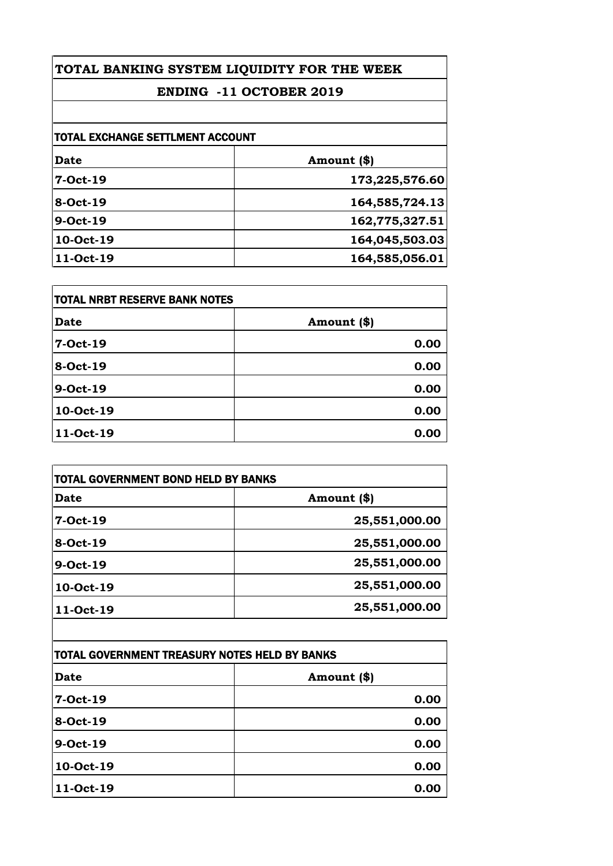# **ENDING -11 OCTOBER 2019**

| <b>TOTAL EXCHANGE SETTLMENT ACCOUNT</b> |                |
|-----------------------------------------|----------------|
| Date                                    | Amount (\$)    |
| 7-Oct-19                                | 173,225,576.60 |
| 8-Oct-19                                | 164,585,724.13 |
| 9-Oct-19                                | 162,775,327.51 |
| 10-Oct-19                               | 164,045,503.03 |
| 11-Oct-19                               | 164,585,056.01 |

| <b>TOTAL NRBT RESERVE BANK NOTES</b> |             |
|--------------------------------------|-------------|
| <b>Date</b>                          | Amount (\$) |
| 7-Oct-19                             | 0.00        |
| 8-Oct-19                             | 0.00        |
| 9-Oct-19                             | 0.00        |
| 10-Oct-19                            | 0.00        |
| 11-Oct-19                            | 0.00        |

| <b>Date</b> | Amount (\$)   |
|-------------|---------------|
| 7-Oct-19    | 25,551,000.00 |
| 8-Oct-19    | 25,551,000.00 |
| 9-Oct-19    | 25,551,000.00 |
| 10-Oct-19   | 25,551,000.00 |
| 11-Oct-19   | 25,551,000.00 |

| TOTAL GOVERNMENT TREASURY NOTES HELD BY BANKS |             |
|-----------------------------------------------|-------------|
| Date                                          | Amount (\$) |
| 7-Oct-19                                      | 0.00        |
| 8-Oct-19                                      | 0.00        |
| 9-Oct-19                                      | 0.00        |
| 10-Oct-19                                     | 0.00        |
| 11-Oct-19                                     | 0.00        |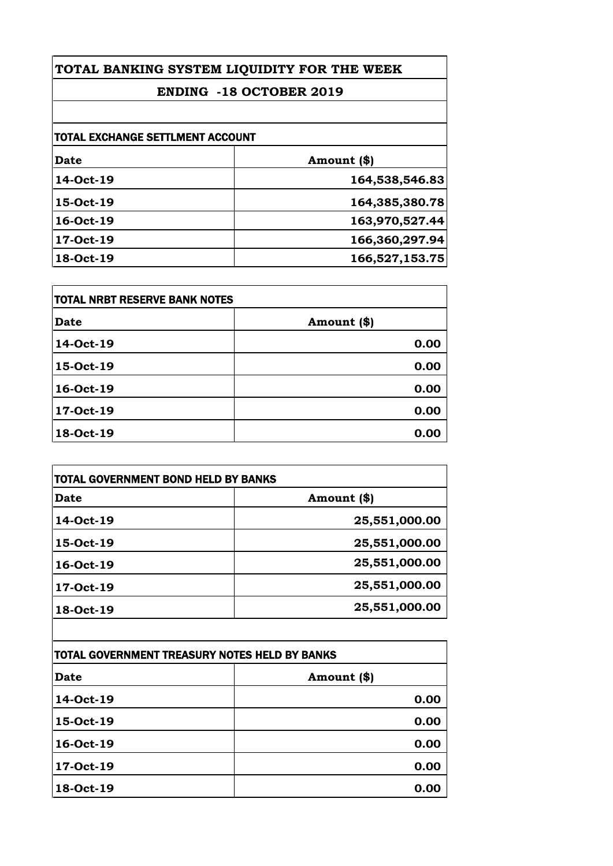# **ENDING -18 OCTOBER 2019**

| TOTAL EXCHANGE SETTLMENT ACCOUNT |                |
|----------------------------------|----------------|
| Date                             | Amount (\$)    |
| 14-Oct-19                        | 164,538,546.83 |
| 15-Oct-19                        | 164,385,380.78 |
| 16-Oct-19                        | 163,970,527.44 |
| 17-Oct-19                        | 166,360,297.94 |
| 18-Oct-19                        | 166,527,153.75 |

| <b>TOTAL NRBT RESERVE BANK NOTES</b> |             |
|--------------------------------------|-------------|
| <b>Date</b>                          | Amount (\$) |
| 14-Oct-19                            | 0.00        |
| 15-Oct-19                            | 0.00        |
| 16-Oct-19                            | 0.00        |
| 17-Oct-19                            | 0.00        |
| 18-Oct-19                            | 0.00        |

| <b>TOTAL GOVERNMENT BOND HELD BY BANKS</b> |               |
|--------------------------------------------|---------------|
| <b>Date</b>                                | Amount (\$)   |
| 14-Oct-19                                  | 25,551,000.00 |
| 15-Oct-19                                  | 25,551,000.00 |
| 16-Oct-19                                  | 25,551,000.00 |
| 17-Oct-19                                  | 25,551,000.00 |
| 18-Oct-19                                  | 25,551,000.00 |
|                                            |               |

| TOTAL GOVERNMENT TREASURY NOTES HELD BY BANKS |             |
|-----------------------------------------------|-------------|
| Date                                          | Amount (\$) |
| 14-Oct-19                                     | 0.00        |
| 15-Oct-19                                     | 0.00        |
| 16-Oct-19                                     | 0.00        |
| 17-Oct-19                                     | 0.00        |
| 18-Oct-19                                     | 0.00        |